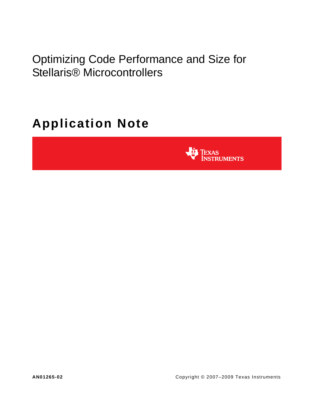Optimizing Code Performance and Size for Stellaris® Microcontrollers

# **Application Note**

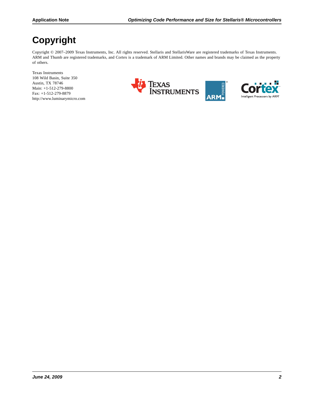## **Copyright**

Copyright © 2007-2009 Texas Instruments, Inc. All rights reserved. Stellaris and StellarisWare are registered trademarks of Texas Instruments. ARM and Thumb are registered trademarks, and Cortex is a trademark of ARM Limited. Other names and brands may be claimed as the property of others.

Texas Instruments 108 Wild Basin, Suite 350 Austin, TX 78746 Main: +1-512-279-8800 Fax: +1-512-279-8879 http://www.luminarymicro.com



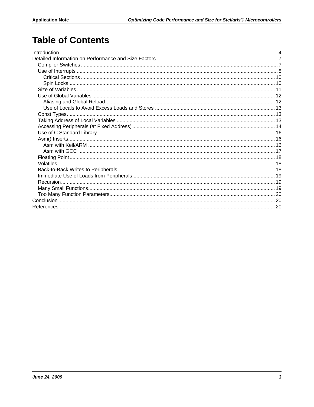## **Table of Contents**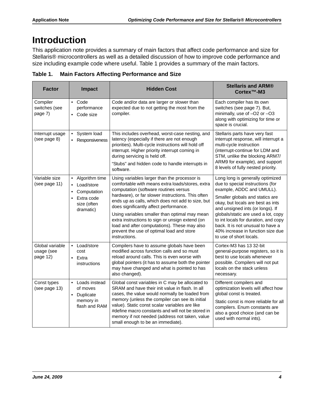## <span id="page-3-0"></span>**Introduction**

This application note provides a summary of main factors that affect code performance and size for Stellaris® microcontrollers as well as a detailed discussion of how to improve code performance and size including example code where useful. [Table 1](#page-3-1) provides a summary of the main factors.

| <b>Factor</b>                             | <b>Impact</b>                                                                                                                                                                                                                                                                                                                             | <b>Hidden Cost</b>                                                                                                                                                                                                                                                                                                                                                                                                                                                                                                           | <b>Stellaris and ARM®</b><br>Cortex <sup>™</sup> -M3                                                                                                                                                                                                                                                                                                                                                                                    |
|-------------------------------------------|-------------------------------------------------------------------------------------------------------------------------------------------------------------------------------------------------------------------------------------------------------------------------------------------------------------------------------------------|------------------------------------------------------------------------------------------------------------------------------------------------------------------------------------------------------------------------------------------------------------------------------------------------------------------------------------------------------------------------------------------------------------------------------------------------------------------------------------------------------------------------------|-----------------------------------------------------------------------------------------------------------------------------------------------------------------------------------------------------------------------------------------------------------------------------------------------------------------------------------------------------------------------------------------------------------------------------------------|
| Compiler<br>switches (see<br>page 7)      | $\bullet$ Code<br>performance<br>Code size                                                                                                                                                                                                                                                                                                | Code and/or data are larger or slower than<br>expected due to not getting the most from the<br>compiler.                                                                                                                                                                                                                                                                                                                                                                                                                     | Each compiler has its own<br>switches (see page 7). But,<br>minimally, use of -O2 or -O3<br>along with optimizing for time or<br>space is crucial.                                                                                                                                                                                                                                                                                      |
| Interrupt usage<br>(see page 8)           | System load<br>$\bullet$<br>This includes overhead, worst-case nesting, and<br>latency (especially if there are not enough<br>Responsiveness<br>priorities). Multi-cycle instructions will hold off<br>interrupt. Higher priority interrupt coming in<br>during servicing is held off.<br>"Stubs" and hidden code to handle interrupts in |                                                                                                                                                                                                                                                                                                                                                                                                                                                                                                                              | Stellaris parts have very fast<br>interrupt response, will interrupt a<br>multi-cycle instruction<br>(interrupt-continue for LDM and<br>STM, unlike the blocking ARM7/<br>ARM9 for example), and support                                                                                                                                                                                                                                |
| Variable size<br>(see page 11)            | Algorithm time<br>$\bullet$<br>Load/store<br>$\bullet$<br>Computation<br>$\bullet$<br>Extra code<br>$\bullet$<br>size (often<br>dramatic)                                                                                                                                                                                                 | software.<br>Using variables larger than the processor is<br>comfortable with means extra loads/stores, extra<br>computation (software routines versus<br>hardware), or far slower instructions. This often<br>ends up as calls, which does not add to size, but<br>does significantly affect performance.<br>Using variables smaller than optimal may mean<br>extra instructions to sign or unsign extend (on<br>load and after computations). These may also<br>prevent the use of optimal load and store<br>instructions. | 8 levels of fully nested priority.<br>Long long is generally optimized<br>due to special instructions (for<br>example, ADDC and UMULL).<br>Smaller globals and statics are<br>okay, but locals are best as ints<br>and unsigned ints (or longs). If<br>globals/static are used a lot, copy<br>to int locals for duration, and copy<br>back. It is not unusual to have a<br>40% increase in function size due<br>to use of short locals. |
| Global variable<br>usage (see<br>page 12) | • Load/store<br>cost<br>$\bullet$<br>Extra<br>instructions                                                                                                                                                                                                                                                                                | Compilers have to assume globals have been<br>modified across function calls and so must<br>reload around calls. This is even worse with<br>global pointers (it has to assume both the pointer<br>may have changed and what is pointed to has<br>also changed).                                                                                                                                                                                                                                                              | Cortex-M3 has 13 32-bit<br>general-purpose registers, so it is<br>best to use locals whenever<br>possible. Compilers will not put<br>locals on the stack unless<br>necessary.                                                                                                                                                                                                                                                           |
| Const types<br>(see page 13)              | $\bullet$<br>Loads instead<br>of moves<br>• Duplicate<br>memory in<br>flash and RAM                                                                                                                                                                                                                                                       | Global const variables in C may be allocated to<br>SRAM and have their init value in flash. In all<br>cases, the value would normally be loaded from<br>memory (unless the compiler can see its initial<br>value). Static const scalar variables are like<br>#define macro constants and will not be stored in<br>memory if not needed (address not taken, value<br>small enough to be an immediate).                                                                                                                        | Different compilers and<br>optimization levels will affect how<br>global const is treated.<br>Static const is more reliable for all<br>compilers. Enum constants are<br>also a good choice (and can be<br>used with normal ints).                                                                                                                                                                                                       |

<span id="page-3-1"></span>**Table 1. Main Factors Affecting Performance and Size**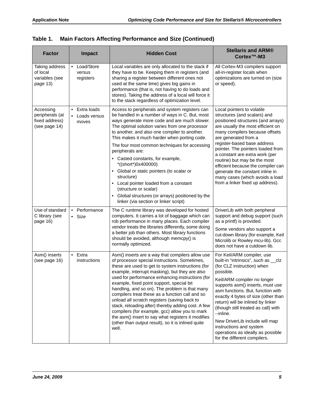| <b>Factor</b>                                                   | <b>Impact</b>                          | <b>Hidden Cost</b>                                                                                                                                                                                                                                                                                                                                                                                                                                                                                                                                                                                                                                                                          | <b>Stellaris and ARM®</b><br>Cortex <sup>™</sup> -M3                                                                                                                                                                                                                                                                                                                                                                                                                                   |
|-----------------------------------------------------------------|----------------------------------------|---------------------------------------------------------------------------------------------------------------------------------------------------------------------------------------------------------------------------------------------------------------------------------------------------------------------------------------------------------------------------------------------------------------------------------------------------------------------------------------------------------------------------------------------------------------------------------------------------------------------------------------------------------------------------------------------|----------------------------------------------------------------------------------------------------------------------------------------------------------------------------------------------------------------------------------------------------------------------------------------------------------------------------------------------------------------------------------------------------------------------------------------------------------------------------------------|
| Taking address<br>of local<br>variables (see<br>page 13)        | • Load/Store<br>versus<br>registers    | Local variables are only allocated to the stack if<br>they have to be. Keeping them in registers (and<br>sharing a register between different ones not<br>used at the same time) gives big gains in<br>performance (that is, not having to do loads and<br>stores). Taking the address of a local will force it<br>to the stack regardless of optimization level.                                                                                                                                                                                                                                                                                                                           | All Cortex-M3 compilers support<br>all-in-register locals when<br>optimizations are turned on (size<br>or speed).                                                                                                                                                                                                                                                                                                                                                                      |
| Accessing<br>peripherals (at<br>fixed address)<br>(see page 14) | • Extra loads<br>Loads versus<br>moves | Access to peripherals and system registers can<br>be handled in a number of ways in C. But, most<br>ways generate more code and are much slower.<br>The optimal solution varies from one processor<br>to another, and also one compiler to another.<br>This makes it much harder when porting code.<br>The four most common techniques for accessing<br>peripherals are:<br>• Casted constants, for example,<br>*((short*)0x400000)<br>Global or static pointers (to scalar or<br>structure)<br>Local pointer loaded from a constant<br>$\bullet$<br>(structure or scalar)<br>Global structures (or arrays) positioned by the<br>$\bullet$<br>linker (via section or linker script)         | Local pointers to volatile<br>structures (and scalars) and<br>positioned structures (and arrays)<br>are usually the most efficient on<br>many compilers because offsets<br>are generated from a<br>register-based base address<br>pointer. The pointers loaded from<br>a constant are extra work (per<br>routine) but may be the most<br>efficient because the compiler can<br>generate the constant inline in<br>many cases (which avoids a load<br>from a linker fixed up address).  |
| Use of standard<br>C library (see<br>page 16)                   | • Performance<br>Size<br>$\bullet$     | The C runtime library was developed for hosted<br>computers. It carries a lot of baggage which can<br>rob performance in many places. Each compiler<br>vendor treats the libraries differently, some doing<br>a better job than others. Most library functions<br>should be avoided, although memcpy() is<br>normally optimized.                                                                                                                                                                                                                                                                                                                                                            | DriverLib with both peripheral<br>support and debug support (such<br>as a printf) is provided.<br>Some vendors also support a<br>cut-down library (for example, Keil<br>Microlib or Rowley mcu-lib). Gcc<br>does not have a cutdown lib.                                                                                                                                                                                                                                               |
| Asm() inserts<br>(see page 16)                                  | $\bullet$ Extra<br>instructions        | Asm() inserts are a way that compilers allow use<br>of processor special instructions. Sometimes,<br>these are used to get to system instructions (for<br>example, interrupt masking), but they are also<br>used for performance enhancing instructions (for<br>example, fixed point support, special bit<br>handling, and so on). The problem is that many<br>compilers treat these as a function call and so<br>unload all scratch registers (saving back to<br>stack, reloading after) thereby adding cost. A few<br>compilers (for example, gcc) allow you to mark<br>the asm() insert to say what registers it modifies<br>(other than output result), so it is inlined quite<br>well. | For Keil/ARM compiler, use<br>built-in "intrinsics", such as _clz<br>(for CLZ instruction) when<br>possible.<br>Keil/ARM compiler no longer<br>supports asm() inserts, must use<br>asm functions. But, function with<br>exactly 4 bytes of size (other than<br>return) will be inlined by linker<br>(though still treated as call) with<br>--inline.<br>New DriverLib include will map<br>instructions and system<br>operations as ideally as possible<br>for the different compilers. |

|  |  | Table 1.  Main Factors Affecting Performance and Size (Continued) |  |  |
|--|--|-------------------------------------------------------------------|--|--|
|--|--|-------------------------------------------------------------------|--|--|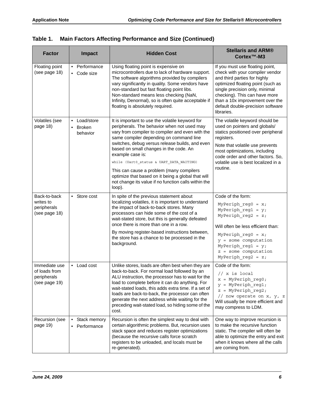| <b>Factor</b>                                                  | <b>Impact</b>                              | <b>Hidden Cost</b>                                                                                                                                                                                                                                                                                                                                                                                                                                                                                                             | <b>Stellaris and ARM®</b><br>Cortex <sup>™</sup> -M3                                                                                                                                                                                                                                             |
|----------------------------------------------------------------|--------------------------------------------|--------------------------------------------------------------------------------------------------------------------------------------------------------------------------------------------------------------------------------------------------------------------------------------------------------------------------------------------------------------------------------------------------------------------------------------------------------------------------------------------------------------------------------|--------------------------------------------------------------------------------------------------------------------------------------------------------------------------------------------------------------------------------------------------------------------------------------------------|
| Floating point<br>(see page 18)                                | • Performance<br>• Code size               | Using floating point is expensive on<br>microcontrollers due to lack of hardware support.<br>The software algorithms provided by compilers<br>vary significantly in quality. Some vendors have<br>non-standard but fast floating point libs.<br>Non-standard means less checking (NaN,<br>Infinity, Denormal), so is often quite acceptable if<br>floating is absolutely required.                                                                                                                                             | If you must use floating point,<br>check with your compiler vendor<br>and third parties for highly<br>optimized floating point (such as<br>single precision only, minimal<br>checking). This can have more<br>than a 10x improvement over the<br>default double-precision software<br>libraries. |
| Volatiles (see<br>page 18)                                     | • Load/store<br><b>Broken</b><br>behavior  | It is important to use the volatile keyword for<br>peripherals. The behavior when not used may<br>vary from compiler to compiler and even with the<br>same compiler depending on command line<br>switches, debug versus release builds, and even<br>based on small changes in the code. An<br>example case is:<br>while (Uart0_status & UART_DATA_WAITING)<br>This can cause a problem (many compilers<br>optimize that based on it being a global that will<br>not change its value if no function calls within the<br>loop). | The volatile keyword should be<br>used on pointers and globals/<br>statics positioned over peripheral<br>registers.<br>Note that volatile use prevents<br>most optimizations, including<br>code order and other factors. So,<br>volatile use is best localized in a<br>routine.                  |
| Back-to-back<br>writes to<br>peripherals<br>(see page 18)      | $\bullet$<br>Store cost                    | In spite of the previous statement about<br>localizing volatiles, it is important to understand<br>the impact of back-to-back stores. Many<br>processors can hide some of the cost of a<br>wait-stated store, but this is generally defeated<br>once there is more than one in a row.<br>By moving register-based instructions between,<br>the store has a chance to be processed in the<br>background.                                                                                                                        | Code of the form:<br>MyPeriph reg0 = $x$ ;<br>MyPeriph reg1 = $y$ ;<br>MyPeriph reg2 = $z$ ;<br>Will often be less efficient than:<br>MyPeriph reg0 = $x$ ;<br>$y =$ some computation<br>MyPeriph reg1 = $y$ ;<br>z = some computation<br>MyPeriph reg2 = $z$ ;                                  |
| Immediate use<br>of loads from<br>peripherals<br>(see page 19) | Load cost<br>$\bullet$                     | Unlike stores, loads are often best when they are<br>back-to-back. For normal load followed by an<br>ALU instruction, the processor has to wait for the<br>load to complete before it can do anything. For<br>wait-stated loads, this adds extra time. If a set of<br>loads are back-to-back, the processor can often<br>generate the next address while waiting for the<br>preceding wait-stated load, so hiding some of the<br>cost.                                                                                         | Code of the form:<br>// x is local<br>$x = MyPeriph_reg0;$<br>$y = MyPeriph_reg1;$<br>$z = MyPeriph reg2;$<br>// now operate on x, y, z<br>Will usually be more efficient and<br>may compress to LDM.                                                                                            |
| Recursion (see<br>page 19)                                     | Stack memory<br>$\bullet$<br>• Performance | Recursion is often the simplest way to deal with<br>certain algorithmic problems. But, recursion uses<br>stack space and reduces register optimizations<br>(because the recursive calls force scratch<br>registers to be unloaded, and locals must be<br>re-generated).                                                                                                                                                                                                                                                        | One way to improve recursion is<br>to make the recursive function<br>static. The compiler will often be<br>able to optimize the entry and exit<br>when it knows where all the calls<br>are coming from.                                                                                          |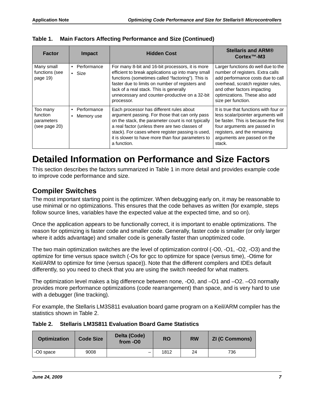| <b>Factor</b>                                       | <b>Impact</b>                          | <b>Hidden Cost</b>                                                                                                                                                                                                                                                                                                          | <b>Stellaris and ARM®</b><br>$CortexTM - M3$                                                                                                                                                                                            |
|-----------------------------------------------------|----------------------------------------|-----------------------------------------------------------------------------------------------------------------------------------------------------------------------------------------------------------------------------------------------------------------------------------------------------------------------------|-----------------------------------------------------------------------------------------------------------------------------------------------------------------------------------------------------------------------------------------|
| Many small<br>functions (see<br>page 19)            | Performance<br>$\bullet$ Size          | For many 8-bit and 16-bit processors, it is more<br>efficient to break applications up into many small<br>functions (sometimes called "factoring"). This is<br>faster due to limits on number of registers and<br>lack of a real stack. This is generally<br>unnecessary and counter-productive on a 32-bit<br>processor.   | Larger functions do well due to the<br>number of registers. Extra calls<br>add performance costs due to call<br>overhead, scratch register rules,<br>and other factors impacting<br>optimizations. These also add<br>size per function. |
| Too many<br>function<br>parameters<br>(see page 20) | Performance<br>$\bullet$<br>Memory use | Each processor has different rules about<br>argument passing. For those that can only pass<br>on the stack, the parameter count is not typically<br>a real factor (unless there are two classes of<br>stack). For cases where register passing is used,<br>it is slower to have more than four parameters to<br>a function. | It is true that functions with four or<br>less scalar/pointer arguments will<br>be faster. This is because the first<br>four arguments are passed in<br>registers, and the remaining<br>arguments are passed on the<br>stack.           |

**Table 1. Main Factors Affecting Performance and Size (Continued)**

## <span id="page-6-0"></span>**Detailed Information on Performance and Size Factors**

This section describes the factors summarized in [Table 1](#page-3-1) in more detail and provides example code to improve code performance and size.

#### <span id="page-6-1"></span>**Compiler Switches**

The most important starting point is the optimizer. When debugging early on, it may be reasonable to use minimal or no optimizations. This ensures that the code behaves as written (for example, steps follow source lines, variables have the expected value at the expected time, and so on).

Once the application appears to be functionally correct, it is important to enable optimizations. The reason for optimizing is faster code and smaller code. Generally, faster code is smaller (or only larger where it adds advantage) and smaller code is generally faster than unoptimized code.

The two main optimization switches are the level of optimization control (-O0, -O1, -O2, -O3) and the optimize for time versus space switch (-Os for gcc to optimize for space (versus time), -Otime for Keil/ARM to optimize for time (versus space)). Note that the different compilers and IDEs default differently, so you need to check that you are using the switch needed for what matters.

The optimization level makes a big difference between none, -O0, and –O1 and –O2. –O3 normally provides more performance optimizations (code rearrangement) than space, and is very hard to use with a debugger (line tracking).

For example, the Stellaris LM3S811 evaluation board game program on a Keil/ARM compiler has the statistics shown in [Table 2.](#page-6-2)

<span id="page-6-2"></span>

|  | Table 2. Stellaris LM3S811 Evaluation Board Game Statistics |  |  |  |  |
|--|-------------------------------------------------------------|--|--|--|--|
|--|-------------------------------------------------------------|--|--|--|--|

| <b>Optimization</b> | <b>Code Size</b> | Delta (Code)<br>from -00 | <b>RO</b> | <b>RW</b> | <b>ZI (C Commons)</b> |
|---------------------|------------------|--------------------------|-----------|-----------|-----------------------|
| -O0 space           | 9008             | _                        | 1812      | 24        | 736                   |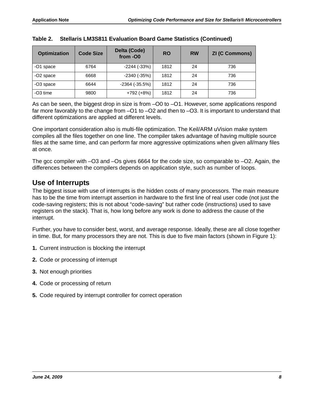| <b>Optimization</b>  | <b>Code Size</b> | Delta (Code)<br>from -00 | <b>RO</b> | <b>RW</b> | <b>ZI (C Commons)</b> |
|----------------------|------------------|--------------------------|-----------|-----------|-----------------------|
| -O1 space            | 6764             | $-2244(-33%)$            | 1812      | 24        | 736                   |
| -O2 space            | 6668             | $-2340(-35%)$            | 1812      | 24        | 736                   |
| -O3 space            | 6644             | $-2364$ $(-35.5%)$       | 1812      | 24        | 736                   |
| -O <sub>3</sub> time | 9800             | $+792 (+8%)$             | 1812      | 24        | 736                   |

|  | Table 2. Stellaris LM3S811 Evaluation Board Game Statistics (Continued) |  |  |  |
|--|-------------------------------------------------------------------------|--|--|--|
|--|-------------------------------------------------------------------------|--|--|--|

As can be seen, the biggest drop in size is from –O0 to –O1. However, some applications respond far more favorably to the change from –O1 to –O2 and then to –O3. It is important to understand that different optimizations are applied at different levels.

One important consideration also is multi-file optimization. The Keil/ARM uVision make system compiles all the files together on one line. The compiler takes advantage of having multiple source files at the same time, and can perform far more aggressive optimizations when given all/many files at once.

The gcc compiler with –O3 and –Os gives 6664 for the code size, so comparable to –O2. Again, the differences between the compilers depends on application style, such as number of loops.

#### <span id="page-7-0"></span>**Use of Interrupts**

The biggest issue with use of interrupts is the hidden costs of many processors. The main measure has to be the time from interrupt assertion in hardware to the first line of real user code (not just the code-saving registers; this is not about "code-saving" but rather code (instructions) used to save registers on the stack). That is, how long before any work is done to address the cause of the interrupt.

Further, you have to consider best, worst, and average response. Ideally, these are all close together in time. But, for many processors they are not. This is due to five main factors (shown in [Figure 1\)](#page-8-0):

- **1.** Current instruction is blocking the interrupt
- **2.** Code or processing of interrupt
- **3.** Not enough priorities
- **4.** Code or processing of return
- **5.** Code required by interrupt controller for correct operation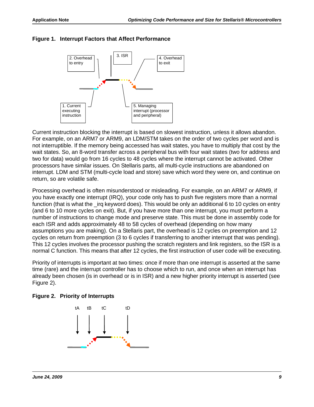<span id="page-8-0"></span>



Current instruction blocking the interrupt is based on slowest instruction, unless it allows abandon. For example, on an ARM7 or ARM9, an LDM/STM takes on the order of two cycles per word and is not interruptible. If the memory being accessed has wait states, you have to multiply that cost by the wait states. So, an 8-word transfer across a peripheral bus with four wait states (two for address and two for data) would go from 16 cycles to 48 cycles where the interrupt cannot be activated. Other processors have similar issues. On Stellaris parts, all multi-cycle instructions are abandoned on interrupt. LDM and STM (multi-cycle load and store) save which word they were on, and continue on return, so are volatile safe.

Processing overhead is often misunderstood or misleading. For example, on an ARM7 or ARM9, if you have exactly one interrupt (IRQ), your code only has to push five registers more than a normal function (that is what the \_irq keyword does). This would be only an additional 6 to 10 cycles on entry (and 6 to 10 more cycles on exit). But, if you have more than one interrupt, you must perform a number of instructions to change mode and preserve state. This must be done in assembly code for each ISR and adds approximately 48 to 58 cycles of overhead (depending on how many assumptions you are making). On a Stellaris part, the overhead is 12 cycles on preemption and 12 cycles on return from preemption (3 to 6 cycles if transferring to another interrupt that was pending). This 12 cycles involves the processor pushing the scratch registers and link registers, so the ISR is a normal C function. This means that after 12 cycles, the first instruction of user code will be executing.

Priority of interrupts is important at two times: once if more than one interrupt is asserted at the same time (rare) and the interrupt controller has to choose which to run, and once when an interrupt has already been chosen (is in overhead or is in ISR) and a new higher priority interrupt is asserted (see [Figure 2](#page-8-1)).

<span id="page-8-1"></span>

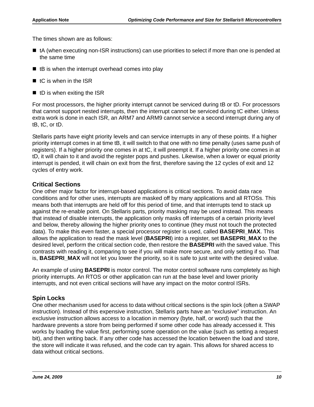The times shown are as follows:

- tA (when executing non-ISR instructions) can use priorities to select if more than one is pended at the same time
- $\blacksquare$  tB is when the interrupt overhead comes into play
- $\blacksquare$  tC is when in the ISR
- $\blacksquare$  tD is when exiting the ISR

For most processors, the higher priority interrupt cannot be serviced during tB or tD. For processors that cannot support nested interrupts, then the interrupt cannot be serviced during tC either. Unless extra work is done in each ISR, an ARM7 and ARM9 cannot service a second interrupt during any of tB, tC, or tD.

Stellaris parts have eight priority levels and can service interrupts in any of these points. If a higher priority interrupt comes in at time tB, it will switch to that one with no time penalty (uses same push of registers). If a higher priority one comes in at tC, it will preempt it. If a higher priority one comes in at tD, it will chain to it and avoid the register pops and pushes. Likewise, when a lower or equal priority interrupt is pended, it will chain on exit from the first, therefore saving the 12 cycles of exit and 12 cycles of entry work.

#### <span id="page-9-0"></span>**Critical Sections**

One other major factor for interrupt-based applications is critical sections. To avoid data race conditions and for other uses, interrupts are masked off by many applications and all RTOSs. This means both that interrupts are held off for this period of time, and that interrupts tend to stack up against the re-enable point. On Stellaris parts, priority masking may be used instead. This means that instead of disable interrupts, the application only masks off interrupts of a certain priority level and below, thereby allowing the higher priority ones to continue (they must not touch the protected data). To make this even faster, a special processor register is used, called **BASEPRI\_MAX**. This allows the application to read the mask level (**BASEPRI**) into a register, set **BASEPRI\_MAX** to the desired level, perform the critical section code, then restore the **BASEPRI** with the saved value. This contrasts with reading it, comparing to see if you will make more secure, and only setting if so. That is, **BASEPRI\_MAX** will not let you lower the priority, so it is safe to just write with the desired value.

An example of using **BASEPRI** is motor control. The motor control software runs completely as high priority interrupts. An RTOS or other application can run at the base level and lower priority interrupts, and not even critical sections will have any impact on the motor control ISRs.

#### <span id="page-9-1"></span>**Spin Locks**

One other mechanism used for access to data without critical sections is the spin lock (often a SWAP instruction). Instead of this expensive instruction, Stellaris parts have an "exclusive" instruction. An exclusive instruction allows access to a location in memory (byte, half, or word) such that the hardware prevents a store from being performed if some other code has already accessed it. This works by loading the value first, performing some operation on the value (such as setting a request bit), and then writing back. If any other code has accessed the location between the load and store, the store will indicate it was refused, and the code can try again. This allows for shared access to data without critical sections.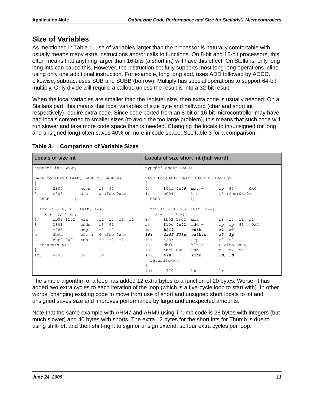### <span id="page-10-0"></span>**Size of Variables**

As mentioned in [Table 1](#page-3-1), use of variables larger than the processor is naturally comfortable with usually means many extra instructions and/or calls to functions. On 8-bit and 16-bit processors, this often means that anything larger than 16-bits (a short int) will have this effect. On Stellaris, only long long ints can cause this. However, the instruction set fully supports most long long operations inline using only one additional instruction. For example, long long add, uses ADD followed by ADDC. Likewise, subtract uses SUB and SUBB (borrow). Multiply has special operations to support 64-bit multiply. Only divide will require a callout, unless the result is into a 32-bit result.

When the local variables are smaller than the register size, then extra code is usually needed. On a Stellaris part, this means that local variables of size byte and halfword (char and short int respectively) require extra code. Since code ported from an 8-bit or 16-bit microcontroller may have had locals converted to smaller sizes (to avoid the too large problem), this means that such code will run slower and take more code space than is needed. Changing the locals to int/unsigned (or long and unsigned long) often saves 40% or more in code space. See[Table 3](#page-10-1) for a comparison.

| <b>Locals of size int</b> |                                                                                                          |    |                                  | Locals of size short int (half word) |                      |                    |                                    |  |
|---------------------------|----------------------------------------------------------------------------------------------------------|----|----------------------------------|--------------------------------------|----------------------|--------------------|------------------------------------|--|
|                           | typedef int BASE;                                                                                        |    |                                  |                                      | typedef short BASE;  |                    |                                    |  |
|                           | BASE foo (BASE last, BASE x, BASE y)                                                                     |    |                                  | BASE foo (BASE last, BASE x, BASE y) |                      |                    |                                    |  |
| 0:                        | 2300                                                                                                     |    | movs r3, #0                      |                                      |                      |                    | 0: $f04f$ $0c00$ mov.w ip, #0; 0x0 |  |
| 2: e002                   |                                                                                                          |    | b.n a <foo+0xa></foo+0xa>        |                                      | 4: e004 b.n          |                    | $10 < f$ oo+0x10>                  |  |
| BASE                      | $\pm$ ;                                                                                                  |    |                                  | BASE                                 |                      | $i$ ;              |                                    |  |
|                           | for $(i = 0; i < last; i++)$                                                                             |    |                                  | for $(i = 0; i < last; i++)$         |                      |                    |                                    |  |
|                           | $\mathbf{x} \;\; \texttt{+} \texttt{=}\;\; \left(\mathbf{y} \;\; \texttt{*} \;\; \mathbf{x}\right) \; ;$ |    |                                  |                                      | $x == (y * x);$      |                    |                                    |  |
| 4:                        |                                                                                                          |    | fb02 1101 mla r1, r2, r1, r1     |                                      |                      |                    | 6: fb02 1301 mla r3, r2, r1, r1    |  |
| 8:                        | 3301 adds r3, #1                                                                                         |    |                                  |                                      |                      | a: f10c 0c01 add.w | ip, ip, #1 ; 0x1                   |  |
| a:                        | 4283 cmp r3, r0                                                                                          |    |                                  |                                      |                      | e: b219 sxth       | r1, r3                             |  |
|                           |                                                                                                          |    | c: $dbfa$ $blt.n$ $4 < foo+0x4>$ |                                      | 10: fa0f f38c sxth.w |                    | r3, ip                             |  |
| e:                        | ebc2 0001 rsb                                                                                            |    | r0, r2, r1                       |                                      | 14: 4283             | cmp                | r3, r0                             |  |
|                           | $return(x-y);$                                                                                           |    |                                  |                                      |                      | 16: dbf6 blt.n     | $6 <$ foo+0 $x6$ >                 |  |
|                           |                                                                                                          |    |                                  |                                      | 18: ebc2 0001        | rsb                | r0, r2, r1                         |  |
| 12:                       | 4770                                                                                                     | bx | lr                               |                                      | 1c: b200             | sxth               | r0, r0                             |  |
|                           |                                                                                                          |    |                                  |                                      | $return(x-y);$       |                    |                                    |  |
|                           |                                                                                                          |    |                                  |                                      |                      |                    |                                    |  |
|                           |                                                                                                          |    |                                  | 1e:                                  | 4770                 | bx                 | lr                                 |  |

#### <span id="page-10-1"></span>**Table 3. Comparison of Variable Sizes**

The simple algorithm of a loop has added 12 extra bytes to a function of 20 bytes. Worse, it has added two extra cycles to each iteration of the loop (which is a five-cycle loop to start with). In other words, changing existing code to move from use of short and unsigned short locals to int and unsigned saves size and improves performance by large and unexpected amounts.

Note that the same example with ARM7 and ARM9 using Thumb code is 28 bytes with integers (but much slower) and 40 bytes with shorts. The extra 12 bytes for the short ints for Thumb is due to using shift-left and then shift-right to sign or unsign extend, so four extra cycles per loop.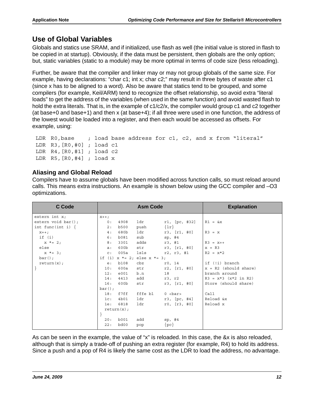## <span id="page-11-0"></span>**Use of Global Variables**

Globals and statics use SRAM, and if initialized, use flash as well (the initial value is stored in flash to be copied in at startup). Obviously, if the data must be persistent, then globals are the only option; but, static variables (static to a module) may be more optimal in terms of code size (less reloading).

Further, be aware that the compiler and linker may or may not group globals of the same size. For example, having declarations: "char c1; int x; char c2;" may result in three bytes of waste after c1 (since x has to be aligned to a word). Also be aware that statics tend to be grouped, and some compilers (for example, Keil/ARM) tend to recognize the offset relationship, so avoid extra "literal loads" to get the address of the variables (when used in the same function) and avoid wasted flash to hold the extra literals. That is, in the example of c1/c2/x, the compiler would group c1 and c2 together (at base+0 and base+1) and then x (at base+4); if all three were used in one function, the address of the lowest would be loaded into a register, and then each would be accessed as offsets. For example, using:

```
LDR R0, base ; load base address for c1, c2, and x from "literal"
 LDR R3,[R0,#0] ; load c1
 LDR R4,[R0,#1] ; load c2
 LDR R5,[R0,#4] ; load x
```
#### <span id="page-11-1"></span>**Aliasing and Global Reload**

Compilers have to assume globals have been modified across function calls, so must reload around calls. This means extra instructions. An example is shown below using the GCC compiler and –O3 optimizations.

| C Code                | <b>Asm Code</b>                     |         |                   | <b>Explanation</b>      |
|-----------------------|-------------------------------------|---------|-------------------|-------------------------|
| extern int $x_i$      | $X++;$                              |         |                   |                         |
| $extern void bar()$ ; | 4908<br>0:                          | ldr     | r1, [pc, #32]     | $R1 = \&x$              |
| int func(int i) {     | <b>b500</b><br>2:                   | push    | $\{1r\}$          |                         |
| $X++;$                | 680b<br>4:                          | ldr     | $r3$ , $[r1, #0]$ | $R3 = x$                |
| if (i)                | b081<br>6 :                         | sub     | sp, #4            |                         |
| $x * = 2;$            | 3301<br>8:                          | adds    | r3, #1            | $R3 = x++$              |
| else                  | 600b<br>a:                          | str     | r3, [r1, #0]      | $x = R3$                |
| $x * = 3;$            | 005a<br>$C$ :                       | lsls    | r2, r3, #1        | $R2 = x*2$              |
| $bar()$ ;             | if (i) $x * = 2$ ; else $x * = 3$ ; |         |                   |                         |
| return(x);            | <b>b108</b><br>e:                   | cbz     | r0, 14            | if (!i) branch          |
|                       | 10:<br>600a                         | str     | r2, [r1, #0]      | $x = R2$ (should share) |
|                       | e001<br>12:                         | b.n     | 18                | branch around           |
|                       | 4413<br>14:                         | add     | r3, r2            | $R3 = x*3 (x*2 in R2)$  |
|                       | 16:<br>600b                         | str     | $r3$ , $[r1, #0]$ | Store (should share)    |
|                       | $bar()$ ;                           |         |                   |                         |
|                       | 18:<br>f7ff                         | fffe bl | $0$ <bar></bar>   | Call                    |
|                       | 4b01<br>1c:                         | ldr     | $r3$ , $[pc, #4]$ | Reload &x               |
|                       | 6818<br>1e:                         | ldr     | r0, [r3, #0]      | Reload x                |
|                       | return(x);                          |         |                   |                         |
|                       |                                     |         |                   |                         |
|                       | <b>b001</b><br>20:                  | add     | sp, #4            |                         |
|                       | 22:<br>bd00                         | pop     | $\{pc\}$          |                         |

As can be seen in the example, the value of "x" is reloaded. In this case, the &x is also reloaded, although that is simply a trade-off of pushing an extra register (for example, R4) to hold its address. Since a push and a pop of R4 is likely the same cost as the LDR to load the address, no advantage.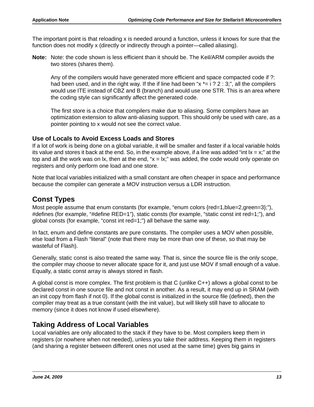The important point is that reloading x is needed around a function, unless it knows for sure that the function does not modify x (directly or indirectly through a pointer—called aliasing).

**Note:** Note: the code shown is less efficient than it should be. The Keil/ARM compiler avoids the two stores (shares them).

Any of the compilers would have generated more efficient and space compacted code if ?: had been used, and in the right way. If the if line had been " $x = i$  ? 2 : 3;", all the compilers would use ITE instead of CBZ and B (branch) and would use one STR. This is an area where the coding style can significantly affect the generated code.

The first store is a choice that compilers make due to aliasing. Some compilers have an optimization extension to allow anti-aliasing support. This should only be used with care, as a pointer pointing to x would not see the correct value.

#### <span id="page-12-0"></span>**Use of Locals to Avoid Excess Loads and Stores**

If a lot of work is being done on a global variable, it will be smaller and faster if a local variable holds its value and stores it back at the end. So, in the example above, if a line was added "int  $x = x$ ", at the top and all the work was on  $x$ , then at the end, " $x = |x|$ " was added, the code would only operate on registers and only perform one load and one store.

Note that local variables initialized with a small constant are often cheaper in space and performance because the compiler can generate a MOV instruction versus a LDR instruction.

### <span id="page-12-1"></span>**Const Types**

Most people assume that enum constants (for example, "enum colors {red=1,blue=2,green=3};"), #defines (for example, "#define RED=1"), static consts (for example, "static const int red=1;"), and global consts (for example, "const int red=1;") all behave the same way.

In fact, enum and define constants are pure constants. The compiler uses a MOV when possible, else load from a Flash "literal" (note that there may be more than one of these, so that may be wasteful of Flash).

Generally, static const is also treated the same way. That is, since the source file is the only scope, the compiler may choose to never allocate space for it, and just use MOV if small enough of a value. Equally, a static const array is always stored in flash.

A global const is more complex. The first problem is that C (unlike C++) allows a global const to be declared const in one source file and not const in another. As a result, it may end up in SRAM (with an init copy from flash if not 0). If the global const is initialized in the source file (defined), then the compiler may treat as a true constant (with the init value), but will likely still have to allocate to memory (since it does not know if used elsewhere).

### <span id="page-12-2"></span>**Taking Address of Local Variables**

Local variables are only allocated to the stack if they have to be. Most compilers keep them in registers (or nowhere when not needed), unless you take their address. Keeping them in registers (and sharing a register between different ones not used at the same time) gives big gains in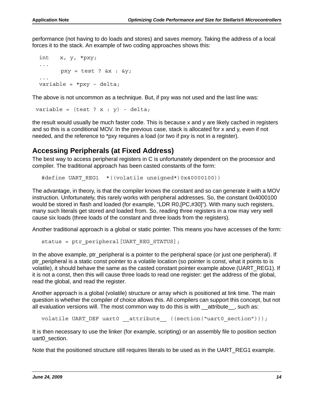performance (not having to do loads and stores) and saves memory. Taking the address of a local forces it to the stack. An example of two coding approaches shows this:

```
 int x, y, *pxy;
   ...
        pxy = test ? &x : &y; ...
 variable = *pxy - delta;
```
The above is not uncommon as a technique. But, if pxy was not used and the last line was:

```
variable = (\text{test} ? x : y) - \text{delta};
```
the result would usually be much faster code. This is because x and y are likely cached in registers and so this is a conditional MOV. In the previous case, stack is allocated for x and y, even if not needed, and the reference to \*pxy requires a load (or two if pxy is not in a register).

### <span id="page-13-0"></span>**Accessing Peripherals (at Fixed Address)**

The best way to access peripheral registers in C is unfortunately dependent on the processor and compiler. The traditional approach has been casted constants of the form:

#define UART\_REG1 \*((volatile unsigned\*)0x40000100))

The advantage, in theory, is that the compiler knows the constant and so can generate it with a MOV instruction. Unfortunately, this rarely works with peripheral addresses. So, the constant 0x4000100 would be stored in flash and loaded (for example, "LDR R0,[PC,#30]"). With many such registers, many such literals get stored and loaded from. So, reading three registers in a row may very well cause six loads (three loads of the constant and three loads from the registers).

Another traditional approach is a global or static pointer. This means you have accesses of the form:

```
status = ptr peripheral [UART REG STATUS];
```
In the above example, ptr\_peripheral is a pointer to the peripheral space (or just one peripheral). If ptr peripheral is a static const pointer to a volatile location (so pointer is const, what it points to is volatile), it should behave the same as the casted constant pointer example above (UART\_REG1). If it is not a const, then this will cause three loads to read one register: get the address of the global, read the global, and read the register.

Another approach is a global (volatile) structure or array which is positioned at link time. The main question is whether the compiler of choice allows this. All compilers can support this concept, but not all evaluation versions will. The most common way to do this is with attribute , such as:

volatile UART DEF uart0 attribute ((section("uart0 section")));

It is then necessary to use the linker (for example, scripting) or an assembly file to position section uart0 section.

Note that the positioned structure still requires literals to be used as in the UART\_REG1 example.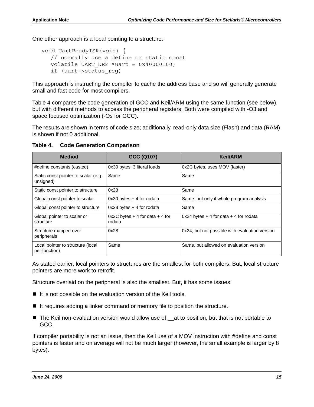One other approach is a local pointing to a structure:

```
void UartReadyISR(void) {
  // normally use a define or static const
  volatile UART DEF *uart = 0x40000100;
  if (uart->status_reg)
```
This approach is instructing the compiler to cache the address base and so will generally generate small and fast code for most compilers.

[Table 4](#page-14-0) compares the code generation of GCC and Keil/ARM using the same function (see below), but with different methods to access the peripheral registers. Both were compiled with -O3 and space focused optimization (-Os for GCC).

The results are shown in terms of code size; additionally, read-only data size (Flash) and data (RAM) is shown if not 0 additional.

**Method GCC (Q107) Keil/ARM** #define constants (casted)  $\vert$  0x30 bytes, 3 literal loads  $\vert$  0x2C bytes, uses MOV (faster) Static const pointer to scalar (e.g. unsigned) Same Same Same Static const pointer to structure  $\vert$  0x28  $\vert$  Same Global const pointer to scalar  $\vert$  0x30 bytes + 4 for rodata  $\vert$  Same. but only if whole program analysis Global const pointer to structure  $\vert$  0x28 bytes + 4 for rodata  $\vert$  Same Global pointer to scalar or structure  $0x2C$  bytes  $+4$  for data  $+4$  for rodata  $0x24$  bytes  $+4$  for data  $+4$  for rodata Structure mapped over peripherals 0x28 0x28 0x24, but not possible with evaluation version Local pointer to structure (local per function) Same Same, but allowed on evaluation version

<span id="page-14-0"></span>**Table 4. Code Generation Comparison**

As stated earlier, local pointers to structures are the smallest for both compilers. But, local structure pointers are more work to retrofit.

Structure overlaid on the peripheral is also the smallest. But, it has some issues:

- $\blacksquare$  It is not possible on the evaluation version of the Keil tools.
- If it requires adding a linker command or memory file to position the structure.
- The Keil non-evaluation version would allow use of \_\_at to position, but that is not portable to GCC.

If compiler portability is not an issue, then the Keil use of a MOV instruction with #define and const pointers is faster and on average will not be much larger (however, the small example is larger by 8 bytes).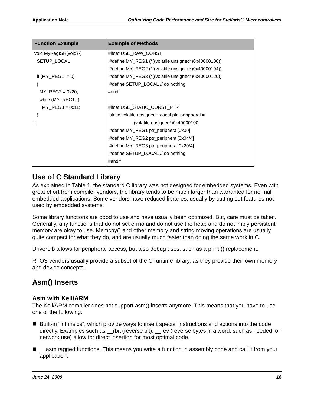| <b>Function Example</b> | <b>Example of Methods</b>                           |  |  |
|-------------------------|-----------------------------------------------------|--|--|
| void MyRegISR(void) {   | #ifdef USE_RAW_CONST                                |  |  |
| SETUP_LOCAL             | #define MY_REG1 (*((volatile unsigned*)0x40000100)) |  |  |
|                         | #define MY_REG2 (*((volatile unsigned*)0x40000104)) |  |  |
| if $(MY_REG1 != 0)$     | #define MY_REG3 (*((volatile unsigned*)0x40000120)) |  |  |
|                         | #define SETUP_LOCAL // do nothing                   |  |  |
| $MY\_REG2 = 0x20;$      | #endif                                              |  |  |
| while $(MY \nREG1--)$   |                                                     |  |  |
| $MY$ REG3 = 0x11;       | #ifdef USE_STATIC_CONST_PTR                         |  |  |
|                         | static volatile unsigned * const ptr_peripheral =   |  |  |
|                         | (volatile unsigned*) $0x40000100$ ;                 |  |  |
|                         | #define MY_REG1 ptr_peripheral[0x00]                |  |  |
|                         | #define MY_REG2 ptr_peripheral[0x04/4]              |  |  |
|                         | #define MY_REG3 ptr_peripheral[0x20/4]              |  |  |
|                         | #define SETUP_LOCAL // do nothing                   |  |  |
|                         | #endif                                              |  |  |

### <span id="page-15-0"></span>**Use of C Standard Library**

As explained in [Table 1,](#page-3-1) the standard C library was not designed for embedded systems. Even with great effort from compiler vendors, the library tends to be much larger than warranted for normal embedded applications. Some vendors have reduced libraries, usually by cutting out features not used by embedded systems.

Some library functions are good to use and have usually been optimized. But, care must be taken. Generally, any functions that do not set errno and do not use the heap and do not imply persistent memory are okay to use. Memcpy() and other memory and string moving operations are usually quite compact for what they do, and are usually much faster than doing the same work in C.

DriverLib allows for peripheral access, but also debug uses, such as a printf() replacement.

RTOS vendors usually provide a subset of the C runtime library, as they provide their own memory and device concepts.

## <span id="page-15-1"></span>**Asm() Inserts**

#### <span id="page-15-2"></span>**Asm with Keil/ARM**

The Keil/ARM compiler does not support asm() inserts anymore. This means that you have to use one of the following:

- Built-in "intrinsics", which provide ways to insert special instructions and actions into the code directly. Examples such as \_\_rbit (reverse bit), \_\_rev (reverse bytes in a word, such as needed for network use) allow for direct insertion for most optimal code.
- \_\_asm tagged functions. This means you write a function in assembly code and call it from your application.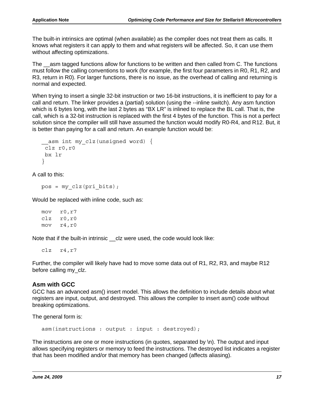The built-in intrinsics are optimal (when available) as the compiler does not treat them as calls. It knows what registers it can apply to them and what registers will be affected. So, it can use them without affecting optimizations.

The \_\_asm tagged functions allow for functions to be written and then called from C. The functions must follow the calling conventions to work (for example, the first four parameters in R0, R1, R2, and R3, return in R0). For larger functions, there is no issue, as the overhead of calling and returning is normal and expected.

When trying to insert a single 32-bit instruction or two 16-bit instructions, it is inefficient to pay for a call and return. The linker provides a (partial) solution (using the --inline switch). Any asm function which is 6 bytes long, with the last 2 bytes as "BX LR" is inlined to replace the BL call. That is, the call, which is a 32-bit instruction is replaced with the first 4 bytes of the function. This is not a perfect solution since the compiler will still have assumed the function would modify R0-R4, and R12. But, it is better than paying for a call and return. An example function would be:

```
asm int my_clz(unsigned word) {
 clz r0,r0
 bx lr
}
```
A call to this:

```
pos = my_clz(pri_bits);
```
Would be replaced with inline code, such as:

mov r0,r7 clz r0,r0 mov r4,r0

Note that if the built-in intrinsic clz were used, the code would look like:

clz r4,r7

Further, the compiler will likely have had to move some data out of R1, R2, R3, and maybe R12 before calling my\_clz.

#### <span id="page-16-0"></span>**Asm with GCC**

GCC has an advanced asm() insert model. This allows the definition to include details about what registers are input, output, and destroyed. This allows the compiler to insert asm() code without breaking optimizations.

The general form is:

asm(instructions : output : input : destroyed);

The instructions are one or more instructions (in quotes, separated by \n). The output and input allows specifying registers or memory to feed the instructions. The destroyed list indicates a register that has been modified and/or that memory has been changed (affects aliasing).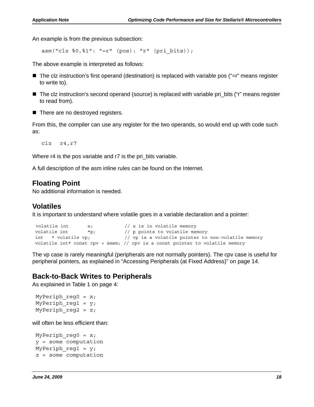An example is from the previous subsection:

asm("clz %0,%1": "=r" (pos): "r" (pri\_bits));

The above example is interpreted as follows:

- The clz instruction's first operand (destination) is replaced with variable pos ("=r" means register to write to).
- The clz instruction's second operand (source) is replaced with variable pri\_bits ("r" means register to read from).
- There are no destroyed registers.

From this, the compiler can use any register for the two operands, so would end up with code such as:

clz r4,r7

Where r4 is the pos variable and r7 is the pri bits variable.

A full description of the asm inline rules can be found on the Internet.

#### <span id="page-17-0"></span>**Floating Point**

No additional information is needed.

#### <span id="page-17-1"></span>**Volatiles**

It is important to understand where volatile goes in a variable declaration and a pointer:

```
volatile int x; \frac{1}{x} is in volatile memory
volatile int *_{p}; // p points to volatile memory
 int * volatile vp; // vp is a volatile pointer to non-volatile memory
volatile int* const cpv = \text{Smem}; // cpv is a const pointer to volatile memory
```
The vp case is rarely meaningful (peripherals are not normally pointers). The cpv case is useful for peripheral pointers, as explained in ["Accessing Peripherals \(at Fixed Address\)" on page 14](#page-13-0).

#### <span id="page-17-2"></span>**Back-to-Back Writes to Peripherals**

As explained in [Table 1 on page 4:](#page-3-1)

```
MyPeriph reg0 = x;
MyPeriph reg1 = y;
MyPeriph reg2 = z;
```
will often be less efficient than:

```
MyPeriph_reg0 = x;
 y = some computation
MyPeriph req1 = y;
 z = some computation
```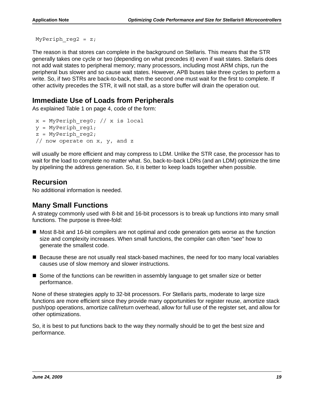MyPeriph reg2 =  $z$ ;

The reason is that stores can complete in the background on Stellaris. This means that the STR generally takes one cycle or two (depending on what precedes it) even if wait states. Stellaris does not add wait states to peripheral memory; many processors, including most ARM chips, run the peripheral bus slower and so cause wait states. However, APB buses take three cycles to perform a write. So, if two STRs are back-to-back, then the second one must wait for the first to complete. If other activity precedes the STR, it will not stall, as a store buffer will drain the operation out.

#### <span id="page-18-0"></span>**Immediate Use of Loads from Peripherals**

As explained [Table 1 on page 4](#page-3-1), code of the form:

```
x = MyPeriph~reg0; // x is localy = MyPeriph \text{ reg1};z = MyPeriph \text{reg2}; // now operate on x, y, and z
```
will usually be more efficient and may compress to LDM. Unlike the STR case, the processor has to wait for the load to complete no matter what. So, back-to-back LDRs (and an LDM) optimize the time by pipelining the address generation. So, it is better to keep loads together when possible.

## <span id="page-18-1"></span>**Recursion**

No additional information is needed.

#### <span id="page-18-2"></span>**Many Small Functions**

A strategy commonly used with 8-bit and 16-bit processors is to break up functions into many small functions. The purpose is three-fold:

- Most 8-bit and 16-bit compilers are not optimal and code generation gets worse as the function size and complexity increases. When small functions, the compiler can often "see" how to generate the smallest code.
- **B** Because these are not usually real stack-based machines, the need for too many local variables causes use of slow memory and slower instructions.
- Some of the functions can be rewritten in assembly language to get smaller size or better performance.

None of these strategies apply to 32-bit processors. For Stellaris parts, moderate to large size functions are more efficient since they provide many opportunities for register reuse, amortize stack push/pop operations, amortize call/return overhead, allow for full use of the register set, and allow for other optimizations.

So, it is best to put functions back to the way they normally should be to get the best size and performance.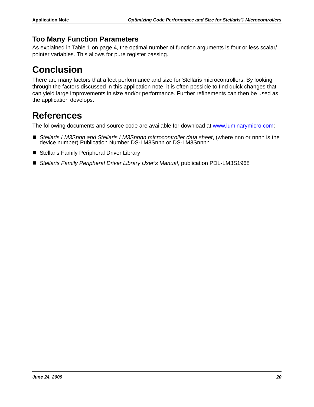## <span id="page-19-0"></span>**Too Many Function Parameters**

As explained in [Table 1 on page 4,](#page-3-1) the optimal number of function arguments is four or less scalar/ pointer variables. This allows for pure register passing.

## <span id="page-19-1"></span>**Conclusion**

There are many factors that affect performance and size for Stellaris microcontrollers. By looking through the factors discussed in this application note, it is often possible to find quick changes that can yield large improvements in size and/or performance. Further refinements can then be used as the application develops.

## <span id="page-19-2"></span>**References**

The following documents and source code are available for download at www.luminarymicro.com:

- *Stellaris LM3Snnn and Stellaris LM3Snnnn microcontroller data sheet*, (where nnn or nnnn is the device number) Publication Number DS-LM3Snnn or DS-LM3Snnnn
- Stellaris Family Peripheral Driver Library
- Stellaris Family Peripheral Driver Library User's Manual, publication PDL-LM3S1968